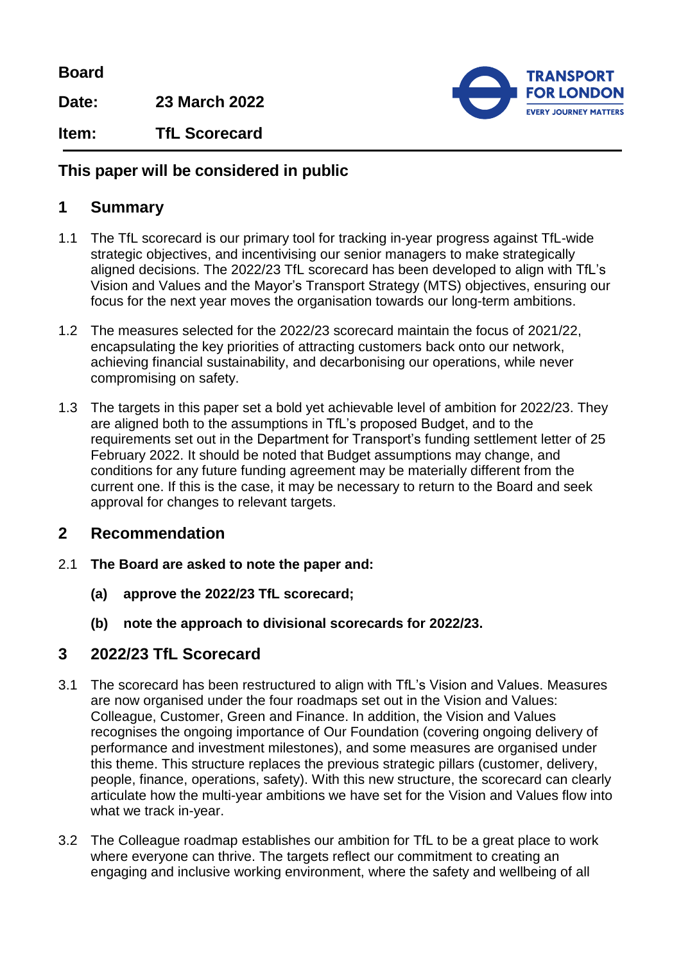**Board**

**Date: 23 March 2022**



**Item: TfL Scorecard**

## **This paper will be considered in public**

## **1 Summary**

- 1.1 The TfL scorecard is our primary tool for tracking in-year progress against TfL-wide strategic objectives, and incentivising our senior managers to make strategically aligned decisions. The 2022/23 TfL scorecard has been developed to align with TfL's Vision and Values and the Mayor's Transport Strategy (MTS) objectives, ensuring our focus for the next year moves the organisation towards our long-term ambitions.
- 1.2 The measures selected for the 2022/23 scorecard maintain the focus of 2021/22, encapsulating the key priorities of attracting customers back onto our network, achieving financial sustainability, and decarbonising our operations, while never compromising on safety.
- 1.3 The targets in this paper set a bold yet achievable level of ambition for 2022/23. They are aligned both to the assumptions in TfL's proposed Budget, and to the requirements set out in the Department for Transport's funding settlement letter of 25 February 2022. It should be noted that Budget assumptions may change, and conditions for any future funding agreement may be materially different from the current one. If this is the case, it may be necessary to return to the Board and seek approval for changes to relevant targets.

## **2 Recommendation**

- 2.1 **The Board are asked to note the paper and:**
	- **(a) approve the 2022/23 TfL scorecard;**
	- **(b) note the approach to divisional scorecards for 2022/23.**

# **3 2022/23 TfL Scorecard**

- 3.1 The scorecard has been restructured to align with TfL's Vision and Values. Measures are now organised under the four roadmaps set out in the Vision and Values: Colleague, Customer, Green and Finance. In addition, the Vision and Values recognises the ongoing importance of Our Foundation (covering ongoing delivery of performance and investment milestones), and some measures are organised under this theme. This structure replaces the previous strategic pillars (customer, delivery, people, finance, operations, safety). With this new structure, the scorecard can clearly articulate how the multi-year ambitions we have set for the Vision and Values flow into what we track in-year.
- 3.2 The Colleague roadmap establishes our ambition for TfL to be a great place to work where everyone can thrive. The targets reflect our commitment to creating an engaging and inclusive working environment, where the safety and wellbeing of all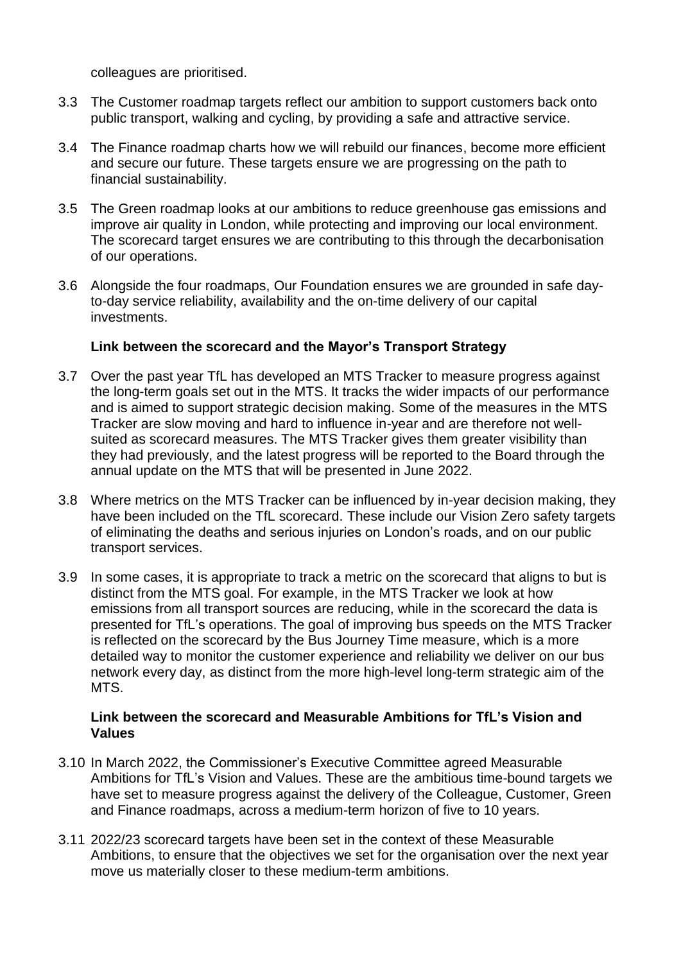colleagues are prioritised.

- 3.3 The Customer roadmap targets reflect our ambition to support customers back onto public transport, walking and cycling, by providing a safe and attractive service.
- 3.4 The Finance roadmap charts how we will rebuild our finances, become more efficient and secure our future. These targets ensure we are progressing on the path to financial sustainability.
- 3.5 The Green roadmap looks at our ambitions to reduce greenhouse gas emissions and improve air quality in London, while protecting and improving our local environment. The scorecard target ensures we are contributing to this through the decarbonisation of our operations.
- 3.6 Alongside the four roadmaps, Our Foundation ensures we are grounded in safe dayto-day service reliability, availability and the on-time delivery of our capital investments.

### **Link between the scorecard and the Mayor's Transport Strategy**

- 3.7 Over the past year TfL has developed an MTS Tracker to measure progress against the long-term goals set out in the MTS. It tracks the wider impacts of our performance and is aimed to support strategic decision making. Some of the measures in the MTS Tracker are slow moving and hard to influence in-year and are therefore not wellsuited as scorecard measures. The MTS Tracker gives them greater visibility than they had previously, and the latest progress will be reported to the Board through the annual update on the MTS that will be presented in June 2022.
- 3.8 Where metrics on the MTS Tracker can be influenced by in-year decision making, they have been included on the TfL scorecard. These include our Vision Zero safety targets of eliminating the deaths and serious injuries on London's roads, and on our public transport services.
- 3.9 In some cases, it is appropriate to track a metric on the scorecard that aligns to but is distinct from the MTS goal. For example, in the MTS Tracker we look at how emissions from all transport sources are reducing, while in the scorecard the data is presented for TfL's operations. The goal of improving bus speeds on the MTS Tracker is reflected on the scorecard by the Bus Journey Time measure, which is a more detailed way to monitor the customer experience and reliability we deliver on our bus network every day, as distinct from the more high-level long-term strategic aim of the MTS.

### **Link between the scorecard and Measurable Ambitions for TfL's Vision and Values**

- 3.10 In March 2022, the Commissioner's Executive Committee agreed Measurable Ambitions for TfL's Vision and Values. These are the ambitious time-bound targets we have set to measure progress against the delivery of the Colleague, Customer, Green and Finance roadmaps, across a medium-term horizon of five to 10 years.
- 3.11 2022/23 scorecard targets have been set in the context of these Measurable Ambitions, to ensure that the objectives we set for the organisation over the next year move us materially closer to these medium-term ambitions.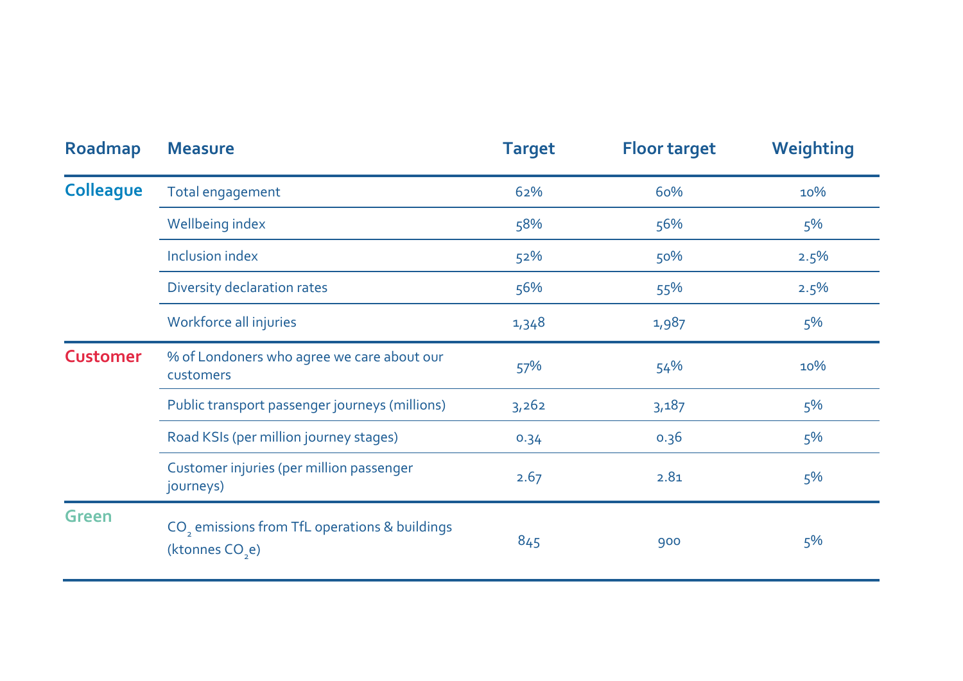| Roadmap          | <b>Measure</b>                                                                           | <b>Target</b> | <b>Floor target</b> | Weighting |
|------------------|------------------------------------------------------------------------------------------|---------------|---------------------|-----------|
| <b>Colleague</b> | Total engagement                                                                         | 62%           | 60%                 | 10%       |
|                  | Wellbeing index                                                                          | 58%           | 56%                 | 5%        |
|                  | <b>Inclusion index</b>                                                                   | 52%           | 50%                 | 2.5%      |
|                  | Diversity declaration rates                                                              | 56%           | 55%                 | 2.5%      |
|                  | Workforce all injuries                                                                   | 1,348         | 1,987               | 5%        |
| <b>Customer</b>  | % of Londoners who agree we care about our<br>customers                                  | 57%           | 54%                 | 10%       |
|                  | Public transport passenger journeys (millions)                                           | 3,262         | 3,187               | 5%        |
|                  | Road KSIs (per million journey stages)                                                   | 0.34          | 0.36                | 5%        |
|                  | Customer injuries (per million passenger<br>journeys)                                    | 2.67          | 2.81                | $5\%$     |
| <b>Green</b>     | CO <sub>2</sub> emissions from TfL operations & buildings<br>(ktonnes CO <sub>2</sub> e) | 845           | 900                 | 5%        |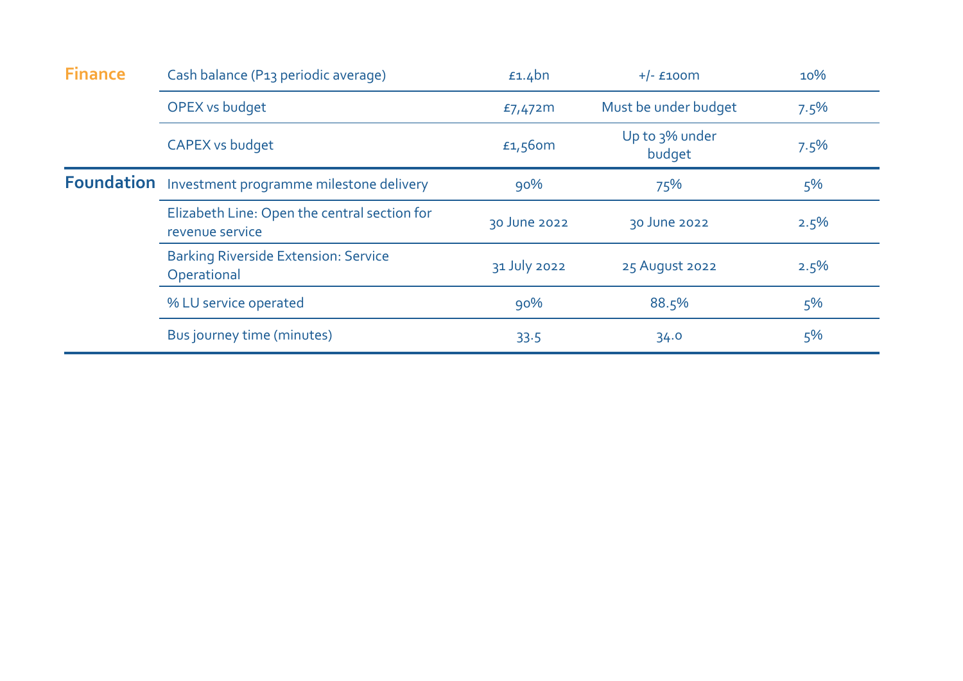| <b>Finance</b> | Cash balance (P13 periodic average)                             | $£1.4$ bn    | $+/-$ £100 $m$           | 10%   |
|----------------|-----------------------------------------------------------------|--------------|--------------------------|-------|
|                | <b>OPEX vs budget</b>                                           | £7,472m      | Must be under budget     | 7.5%  |
|                | <b>CAPEX vs budget</b>                                          | £1,560m      | Up to 3% under<br>budget | 7.5%  |
|                | Foundation Investment programme milestone delivery              | 90%          | 75%                      | $5\%$ |
|                | Elizabeth Line: Open the central section for<br>revenue service | 30 June 2022 | 30 June 2022             | 2.5%  |
|                | <b>Barking Riverside Extension: Service</b><br>Operational      | 31 July 2022 | 25 August 2022           | 2.5%  |
|                | % LU service operated                                           | 90%          | 88.5%                    | $5\%$ |
|                | Bus journey time (minutes)                                      | 33.5         | 34.0                     | $5\%$ |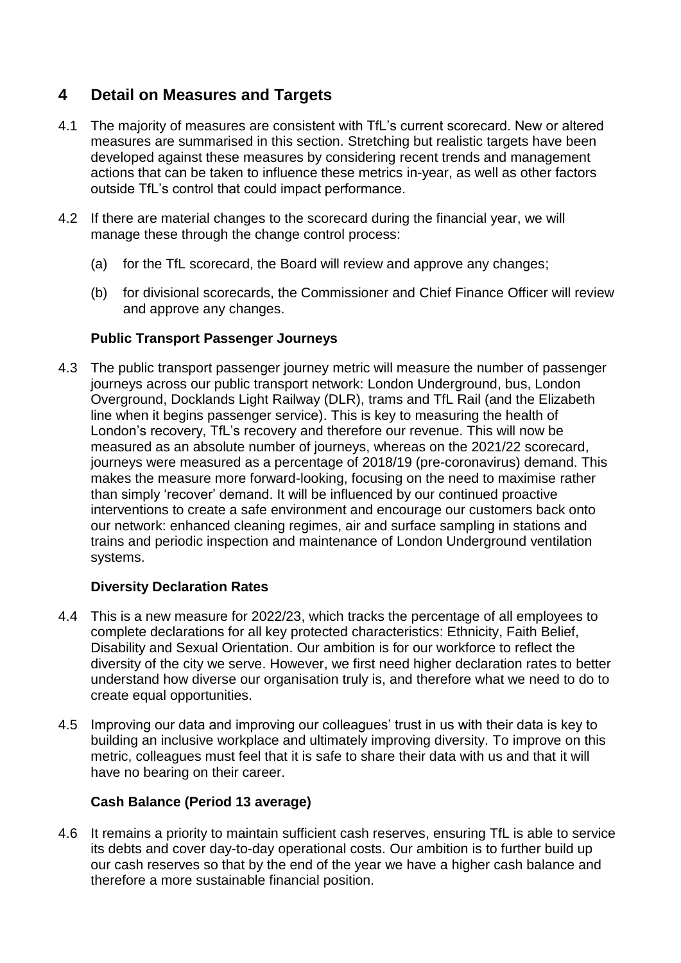## **4 Detail on Measures and Targets**

- 4.1 The majority of measures are consistent with TfL's current scorecard. New or altered measures are summarised in this section. Stretching but realistic targets have been developed against these measures by considering recent trends and management actions that can be taken to influence these metrics in-year, as well as other factors outside TfL's control that could impact performance.
- 4.2 If there are material changes to the scorecard during the financial year, we will manage these through the change control process:
	- (a) for the TfL scorecard, the Board will review and approve any changes;
	- (b) for divisional scorecards, the Commissioner and Chief Finance Officer will review and approve any changes.

### **Public Transport Passenger Journeys**

4.3 The public transport passenger journey metric will measure the number of passenger journeys across our public transport network: London Underground, bus, London Overground, Docklands Light Railway (DLR), trams and TfL Rail (and the Elizabeth line when it begins passenger service). This is key to measuring the health of London's recovery, TfL's recovery and therefore our revenue. This will now be measured as an absolute number of journeys, whereas on the 2021/22 scorecard, journeys were measured as a percentage of 2018/19 (pre-coronavirus) demand. This makes the measure more forward-looking, focusing on the need to maximise rather than simply 'recover' demand. It will be influenced by our continued proactive interventions to create a safe environment and encourage our customers back onto our network: enhanced cleaning regimes, air and surface sampling in stations and trains and periodic inspection and maintenance of London Underground ventilation systems.

### **Diversity Declaration Rates**

- 4.4 This is a new measure for 2022/23, which tracks the percentage of all employees to complete declarations for all key protected characteristics: Ethnicity, Faith Belief, Disability and Sexual Orientation. Our ambition is for our workforce to reflect the diversity of the city we serve. However, we first need higher declaration rates to better understand how diverse our organisation truly is, and therefore what we need to do to create equal opportunities.
- 4.5 Improving our data and improving our colleagues' trust in us with their data is key to building an inclusive workplace and ultimately improving diversity. To improve on this metric, colleagues must feel that it is safe to share their data with us and that it will have no bearing on their career.

### **Cash Balance (Period 13 average)**

4.6 It remains a priority to maintain sufficient cash reserves, ensuring TfL is able to service its debts and cover day-to-day operational costs. Our ambition is to further build up our cash reserves so that by the end of the year we have a higher cash balance and therefore a more sustainable financial position.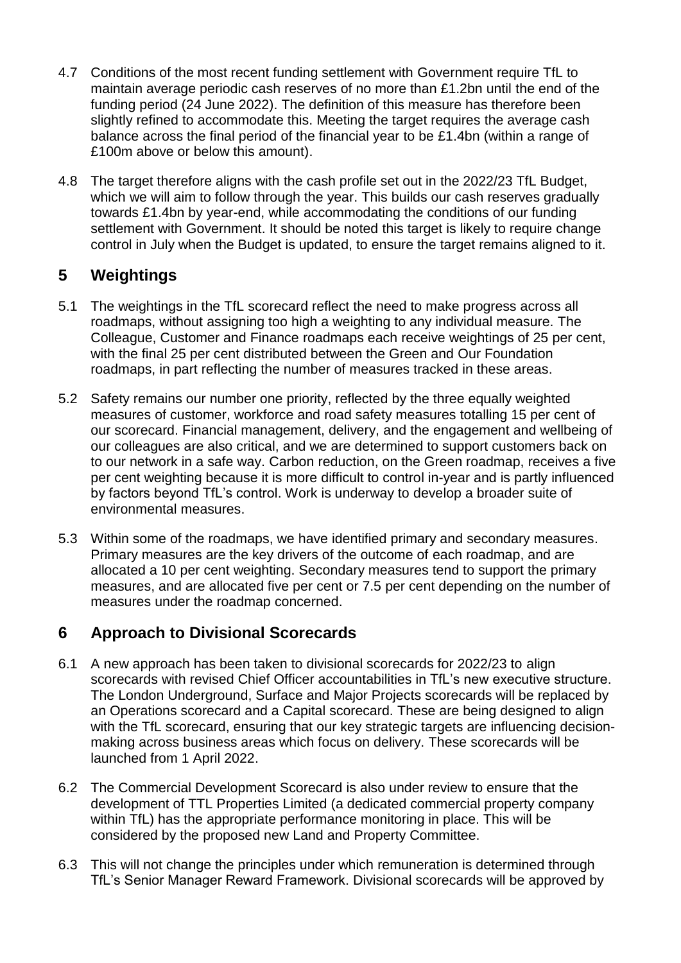- 4.7 Conditions of the most recent funding settlement with Government require TfL to maintain average periodic cash reserves of no more than £1.2bn until the end of the funding period (24 June 2022). The definition of this measure has therefore been slightly refined to accommodate this. Meeting the target requires the average cash balance across the final period of the financial year to be £1.4bn (within a range of £100m above or below this amount).
- 4.8 The target therefore aligns with the cash profile set out in the 2022/23 TfL Budget, which we will aim to follow through the year. This builds our cash reserves gradually towards £1.4bn by year-end, while accommodating the conditions of our funding settlement with Government. It should be noted this target is likely to require change control in July when the Budget is updated, to ensure the target remains aligned to it.

# **5 Weightings**

- 5.1 The weightings in the TfL scorecard reflect the need to make progress across all roadmaps, without assigning too high a weighting to any individual measure. The Colleague, Customer and Finance roadmaps each receive weightings of 25 per cent, with the final 25 per cent distributed between the Green and Our Foundation roadmaps, in part reflecting the number of measures tracked in these areas.
- 5.2 Safety remains our number one priority, reflected by the three equally weighted measures of customer, workforce and road safety measures totalling 15 per cent of our scorecard. Financial management, delivery, and the engagement and wellbeing of our colleagues are also critical, and we are determined to support customers back on to our network in a safe way. Carbon reduction, on the Green roadmap, receives a five per cent weighting because it is more difficult to control in-year and is partly influenced by factors beyond TfL's control. Work is underway to develop a broader suite of environmental measures.
- 5.3 Within some of the roadmaps, we have identified primary and secondary measures. Primary measures are the key drivers of the outcome of each roadmap, and are allocated a 10 per cent weighting. Secondary measures tend to support the primary measures, and are allocated five per cent or 7.5 per cent depending on the number of measures under the roadmap concerned.

# **6 Approach to Divisional Scorecards**

- 6.1 A new approach has been taken to divisional scorecards for 2022/23 to align scorecards with revised Chief Officer accountabilities in TfL's new executive structure. The London Underground, Surface and Major Projects scorecards will be replaced by an Operations scorecard and a Capital scorecard. These are being designed to align with the TfL scorecard, ensuring that our key strategic targets are influencing decisionmaking across business areas which focus on delivery. These scorecards will be launched from 1 April 2022.
- 6.2 The Commercial Development Scorecard is also under review to ensure that the development of TTL Properties Limited (a dedicated commercial property company within TfL) has the appropriate performance monitoring in place. This will be considered by the proposed new Land and Property Committee.
- 6.3 This will not change the principles under which remuneration is determined through TfL's Senior Manager Reward Framework. Divisional scorecards will be approved by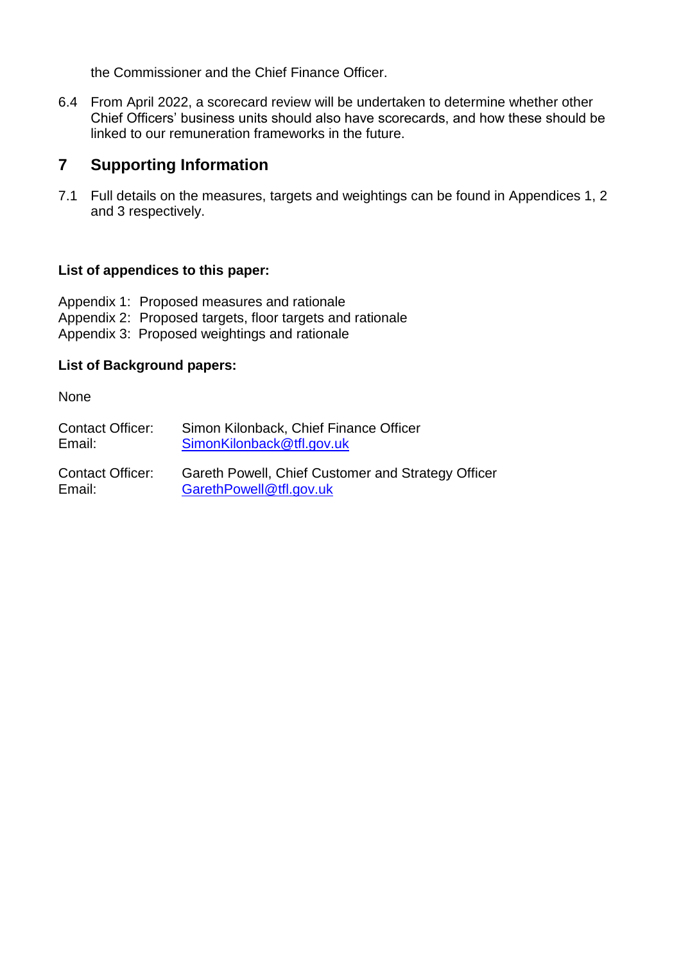the Commissioner and the Chief Finance Officer.

6.4 From April 2022, a scorecard review will be undertaken to determine whether other Chief Officers' business units should also have scorecards, and how these should be linked to our remuneration frameworks in the future.

## **7 Supporting Information**

7.1 Full details on the measures, targets and weightings can be found in Appendices 1, 2 and 3 respectively.

### **List of appendices to this paper:**

Appendix 1: Proposed measures and rationale Appendix 2: Proposed targets, floor targets and rationale Appendix 3: Proposed weightings and rationale

### **List of Background papers:**

**None** 

| <b>Contact Officer:</b> | Simon Kilonback, Chief Finance Officer |
|-------------------------|----------------------------------------|
| Email:                  | SimonKilonback@tfl.gov.uk              |
|                         |                                        |

Contact Officer: Gareth Powell, Chief Customer and Strategy Officer Email: [GarethPowell@tfl.gov.uk](mailto:GarethPowell@tfl.gov.uk)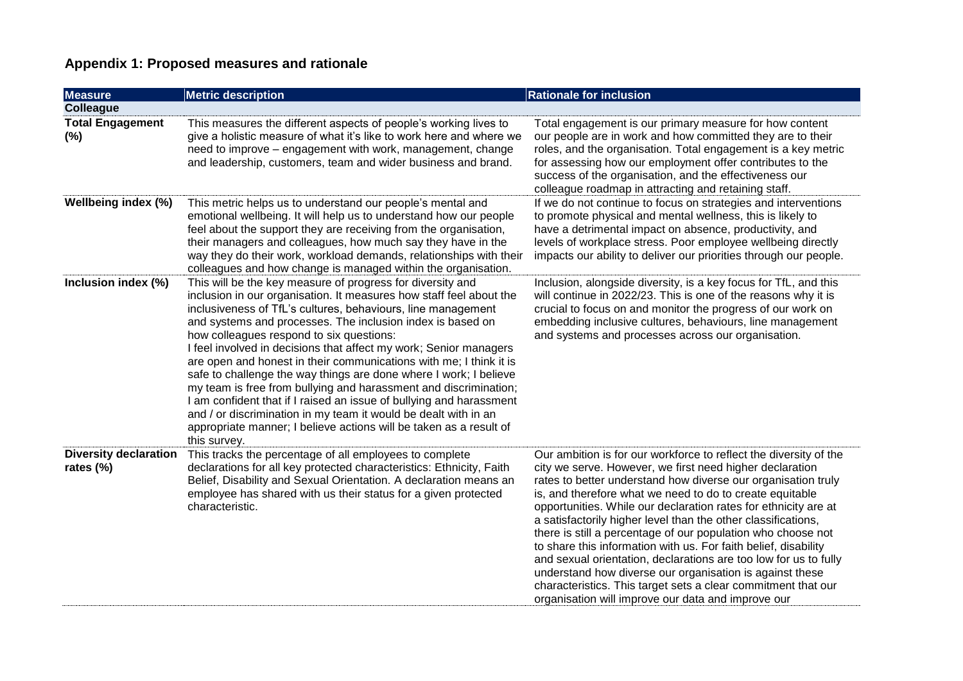## **Appendix 1: Proposed measures and rationale**

| <b>Measure</b>                            | <b>Metric description</b>                                                                                                                                                                                                                                                                                                                                                                                                                                                                                                                                                                                                                                                                                                                                                                                                       | <b>Rationale for inclusion</b>                                                                                                                                                                                                                                                                                                                                                                                                                                                                                                                                                                                                                                                                                                                                                           |
|-------------------------------------------|---------------------------------------------------------------------------------------------------------------------------------------------------------------------------------------------------------------------------------------------------------------------------------------------------------------------------------------------------------------------------------------------------------------------------------------------------------------------------------------------------------------------------------------------------------------------------------------------------------------------------------------------------------------------------------------------------------------------------------------------------------------------------------------------------------------------------------|------------------------------------------------------------------------------------------------------------------------------------------------------------------------------------------------------------------------------------------------------------------------------------------------------------------------------------------------------------------------------------------------------------------------------------------------------------------------------------------------------------------------------------------------------------------------------------------------------------------------------------------------------------------------------------------------------------------------------------------------------------------------------------------|
| <b>Colleague</b>                          |                                                                                                                                                                                                                                                                                                                                                                                                                                                                                                                                                                                                                                                                                                                                                                                                                                 |                                                                                                                                                                                                                                                                                                                                                                                                                                                                                                                                                                                                                                                                                                                                                                                          |
| <b>Total Engagement</b><br>(%)            | This measures the different aspects of people's working lives to<br>give a holistic measure of what it's like to work here and where we<br>need to improve - engagement with work, management, change<br>and leadership, customers, team and wider business and brand.                                                                                                                                                                                                                                                                                                                                                                                                                                                                                                                                                          | Total engagement is our primary measure for how content<br>our people are in work and how committed they are to their<br>roles, and the organisation. Total engagement is a key metric<br>for assessing how our employment offer contributes to the<br>success of the organisation, and the effectiveness our<br>colleague roadmap in attracting and retaining staff.                                                                                                                                                                                                                                                                                                                                                                                                                    |
| Wellbeing index (%)                       | This metric helps us to understand our people's mental and<br>emotional wellbeing. It will help us to understand how our people<br>feel about the support they are receiving from the organisation,<br>their managers and colleagues, how much say they have in the<br>way they do their work, workload demands, relationships with their<br>colleagues and how change is managed within the organisation.                                                                                                                                                                                                                                                                                                                                                                                                                      | If we do not continue to focus on strategies and interventions<br>to promote physical and mental wellness, this is likely to<br>have a detrimental impact on absence, productivity, and<br>levels of workplace stress. Poor employee wellbeing directly<br>impacts our ability to deliver our priorities through our people.                                                                                                                                                                                                                                                                                                                                                                                                                                                             |
| Inclusion index (%)                       | This will be the key measure of progress for diversity and<br>inclusion in our organisation. It measures how staff feel about the<br>inclusiveness of TfL's cultures, behaviours, line management<br>and systems and processes. The inclusion index is based on<br>how colleagues respond to six questions:<br>I feel involved in decisions that affect my work; Senior managers<br>are open and honest in their communications with me; I think it is<br>safe to challenge the way things are done where I work; I believe<br>my team is free from bullying and harassment and discrimination;<br>I am confident that if I raised an issue of bullying and harassment<br>and / or discrimination in my team it would be dealt with in an<br>appropriate manner; I believe actions will be taken as a result of<br>this survey. | Inclusion, alongside diversity, is a key focus for TfL, and this<br>will continue in 2022/23. This is one of the reasons why it is<br>crucial to focus on and monitor the progress of our work on<br>embedding inclusive cultures, behaviours, line management<br>and systems and processes across our organisation.                                                                                                                                                                                                                                                                                                                                                                                                                                                                     |
| <b>Diversity declaration</b><br>rates (%) | This tracks the percentage of all employees to complete<br>declarations for all key protected characteristics: Ethnicity, Faith<br>Belief, Disability and Sexual Orientation. A declaration means an<br>employee has shared with us their status for a given protected<br>characteristic.                                                                                                                                                                                                                                                                                                                                                                                                                                                                                                                                       | Our ambition is for our workforce to reflect the diversity of the<br>city we serve. However, we first need higher declaration<br>rates to better understand how diverse our organisation truly<br>is, and therefore what we need to do to create equitable<br>opportunities. While our declaration rates for ethnicity are at<br>a satisfactorily higher level than the other classifications,<br>there is still a percentage of our population who choose not<br>to share this information with us. For faith belief, disability<br>and sexual orientation, declarations are too low for us to fully<br>understand how diverse our organisation is against these<br>characteristics. This target sets a clear commitment that our<br>organisation will improve our data and improve our |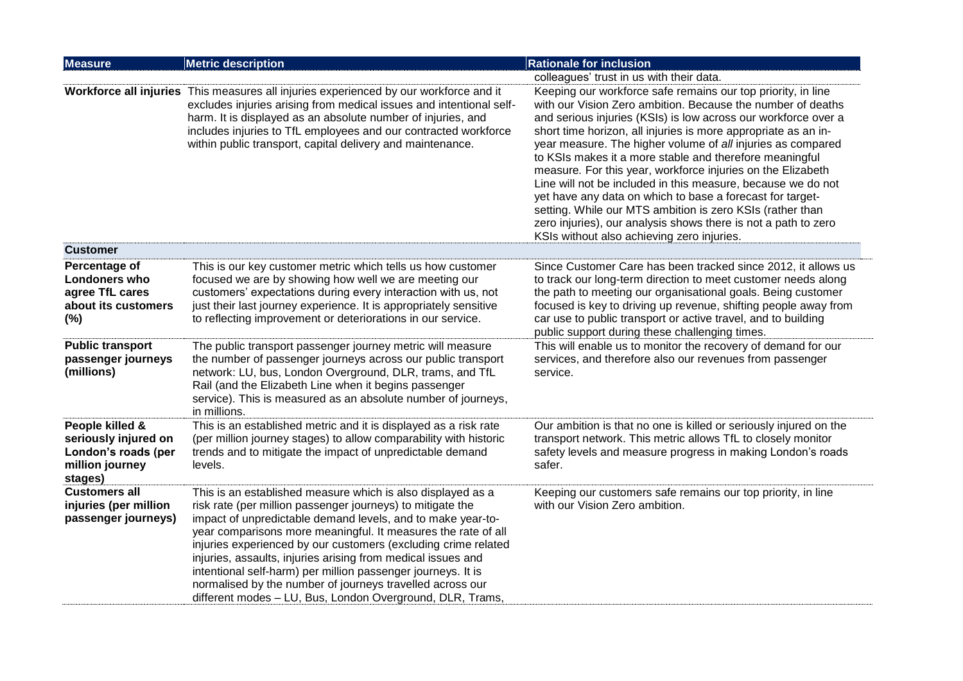| <b>Measure</b>                                                                               | <b>Metric description</b>                                                                                                                                                                                                                                                                                                                                                                                                                                                                                                                                                             | <b>Rationale for inclusion</b>                                                                                                                                                                                                                                                                                                                                                                                                                                                                                                                                                                                                                                                                                                                                     |
|----------------------------------------------------------------------------------------------|---------------------------------------------------------------------------------------------------------------------------------------------------------------------------------------------------------------------------------------------------------------------------------------------------------------------------------------------------------------------------------------------------------------------------------------------------------------------------------------------------------------------------------------------------------------------------------------|--------------------------------------------------------------------------------------------------------------------------------------------------------------------------------------------------------------------------------------------------------------------------------------------------------------------------------------------------------------------------------------------------------------------------------------------------------------------------------------------------------------------------------------------------------------------------------------------------------------------------------------------------------------------------------------------------------------------------------------------------------------------|
|                                                                                              |                                                                                                                                                                                                                                                                                                                                                                                                                                                                                                                                                                                       | colleagues' trust in us with their data.                                                                                                                                                                                                                                                                                                                                                                                                                                                                                                                                                                                                                                                                                                                           |
|                                                                                              | Workforce all injuries This measures all injuries experienced by our workforce and it<br>excludes injuries arising from medical issues and intentional self-<br>harm. It is displayed as an absolute number of injuries, and<br>includes injuries to TfL employees and our contracted workforce<br>within public transport, capital delivery and maintenance.                                                                                                                                                                                                                         | Keeping our workforce safe remains our top priority, in line<br>with our Vision Zero ambition. Because the number of deaths<br>and serious injuries (KSIs) is low across our workforce over a<br>short time horizon, all injuries is more appropriate as an in-<br>year measure. The higher volume of all injuries as compared<br>to KSIs makes it a more stable and therefore meaningful<br>measure. For this year, workforce injuries on the Elizabeth<br>Line will not be included in this measure, because we do not<br>yet have any data on which to base a forecast for target-<br>setting. While our MTS ambition is zero KSIs (rather than<br>zero injuries), our analysis shows there is not a path to zero<br>KSIs without also achieving zero injuries. |
| <b>Customer</b>                                                                              |                                                                                                                                                                                                                                                                                                                                                                                                                                                                                                                                                                                       |                                                                                                                                                                                                                                                                                                                                                                                                                                                                                                                                                                                                                                                                                                                                                                    |
| Percentage of<br><b>Londoners who</b><br>agree TfL cares<br>about its customers<br>(%)       | This is our key customer metric which tells us how customer<br>focused we are by showing how well we are meeting our<br>customers' expectations during every interaction with us, not<br>just their last journey experience. It is appropriately sensitive<br>to reflecting improvement or deteriorations in our service.                                                                                                                                                                                                                                                             | Since Customer Care has been tracked since 2012, it allows us<br>to track our long-term direction to meet customer needs along<br>the path to meeting our organisational goals. Being customer<br>focused is key to driving up revenue, shifting people away from<br>car use to public transport or active travel, and to building<br>public support during these challenging times.                                                                                                                                                                                                                                                                                                                                                                               |
| <b>Public transport</b><br>passenger journeys<br>(millions)                                  | The public transport passenger journey metric will measure<br>the number of passenger journeys across our public transport<br>network: LU, bus, London Overground, DLR, trams, and TfL<br>Rail (and the Elizabeth Line when it begins passenger<br>service). This is measured as an absolute number of journeys,<br>in millions.                                                                                                                                                                                                                                                      | This will enable us to monitor the recovery of demand for our<br>services, and therefore also our revenues from passenger<br>service.                                                                                                                                                                                                                                                                                                                                                                                                                                                                                                                                                                                                                              |
| People killed &<br>seriously injured on<br>London's roads (per<br>million journey<br>stages) | This is an established metric and it is displayed as a risk rate<br>(per million journey stages) to allow comparability with historic<br>trends and to mitigate the impact of unpredictable demand<br>levels.                                                                                                                                                                                                                                                                                                                                                                         | Our ambition is that no one is killed or seriously injured on the<br>transport network. This metric allows TfL to closely monitor<br>safety levels and measure progress in making London's roads<br>safer.                                                                                                                                                                                                                                                                                                                                                                                                                                                                                                                                                         |
| <b>Customers all</b><br>injuries (per million<br>passenger journeys)                         | This is an established measure which is also displayed as a<br>risk rate (per million passenger journeys) to mitigate the<br>impact of unpredictable demand levels, and to make year-to-<br>year comparisons more meaningful. It measures the rate of all<br>injuries experienced by our customers (excluding crime related<br>injuries, assaults, injuries arising from medical issues and<br>intentional self-harm) per million passenger journeys. It is<br>normalised by the number of journeys travelled across our<br>different modes - LU, Bus, London Overground, DLR, Trams, | Keeping our customers safe remains our top priority, in line<br>with our Vision Zero ambition.                                                                                                                                                                                                                                                                                                                                                                                                                                                                                                                                                                                                                                                                     |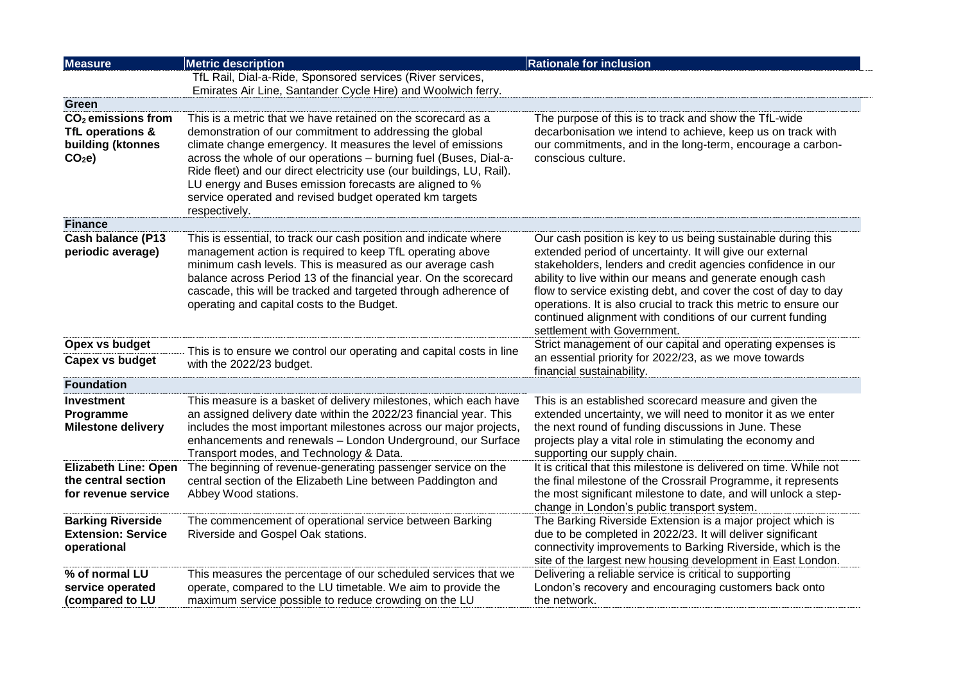| <b>Measure</b>                                                                               | <b>Metric description</b>                                                                                                                                                                                                                                                                                                                                                                                                                                                     | <b>Rationale for inclusion</b>                                                                                                                                                                                                                                                                                                                                                                                                                                                             |
|----------------------------------------------------------------------------------------------|-------------------------------------------------------------------------------------------------------------------------------------------------------------------------------------------------------------------------------------------------------------------------------------------------------------------------------------------------------------------------------------------------------------------------------------------------------------------------------|--------------------------------------------------------------------------------------------------------------------------------------------------------------------------------------------------------------------------------------------------------------------------------------------------------------------------------------------------------------------------------------------------------------------------------------------------------------------------------------------|
|                                                                                              | TfL Rail, Dial-a-Ride, Sponsored services (River services,                                                                                                                                                                                                                                                                                                                                                                                                                    |                                                                                                                                                                                                                                                                                                                                                                                                                                                                                            |
|                                                                                              | Emirates Air Line, Santander Cycle Hire) and Woolwich ferry.                                                                                                                                                                                                                                                                                                                                                                                                                  |                                                                                                                                                                                                                                                                                                                                                                                                                                                                                            |
| Green                                                                                        |                                                                                                                                                                                                                                                                                                                                                                                                                                                                               |                                                                                                                                                                                                                                                                                                                                                                                                                                                                                            |
| CO <sub>2</sub> emissions from<br>TfL operations &<br>building (ktonnes<br>CO <sub>2</sub> e | This is a metric that we have retained on the scorecard as a<br>demonstration of our commitment to addressing the global<br>climate change emergency. It measures the level of emissions<br>across the whole of our operations - burning fuel (Buses, Dial-a-<br>Ride fleet) and our direct electricity use (our buildings, LU, Rail).<br>LU energy and Buses emission forecasts are aligned to %<br>service operated and revised budget operated km targets<br>respectively. | The purpose of this is to track and show the TfL-wide<br>decarbonisation we intend to achieve, keep us on track with<br>our commitments, and in the long-term, encourage a carbon-<br>conscious culture.                                                                                                                                                                                                                                                                                   |
| <b>Finance</b>                                                                               |                                                                                                                                                                                                                                                                                                                                                                                                                                                                               |                                                                                                                                                                                                                                                                                                                                                                                                                                                                                            |
| <b>Cash balance (P13</b><br>periodic average)                                                | This is essential, to track our cash position and indicate where<br>management action is required to keep TfL operating above<br>minimum cash levels. This is measured as our average cash<br>balance across Period 13 of the financial year. On the scorecard<br>cascade, this will be tracked and targeted through adherence of<br>operating and capital costs to the Budget.                                                                                               | Our cash position is key to us being sustainable during this<br>extended period of uncertainty. It will give our external<br>stakeholders, lenders and credit agencies confidence in our<br>ability to live within our means and generate enough cash<br>flow to service existing debt, and cover the cost of day to day<br>operations. It is also crucial to track this metric to ensure our<br>continued alignment with conditions of our current funding<br>settlement with Government. |
| Opex vs budget                                                                               | This is to ensure we control our operating and capital costs in line                                                                                                                                                                                                                                                                                                                                                                                                          | Strict management of our capital and operating expenses is                                                                                                                                                                                                                                                                                                                                                                                                                                 |
| Capex vs budget                                                                              | with the 2022/23 budget.                                                                                                                                                                                                                                                                                                                                                                                                                                                      | an essential priority for 2022/23, as we move towards<br>financial sustainability.                                                                                                                                                                                                                                                                                                                                                                                                         |
| <b>Foundation</b>                                                                            |                                                                                                                                                                                                                                                                                                                                                                                                                                                                               |                                                                                                                                                                                                                                                                                                                                                                                                                                                                                            |
| Investment<br>Programme<br><b>Milestone delivery</b>                                         | This measure is a basket of delivery milestones, which each have<br>an assigned delivery date within the 2022/23 financial year. This<br>includes the most important milestones across our major projects,<br>enhancements and renewals - London Underground, our Surface<br>Transport modes, and Technology & Data.                                                                                                                                                          | This is an established scorecard measure and given the<br>extended uncertainty, we will need to monitor it as we enter<br>the next round of funding discussions in June. These<br>projects play a vital role in stimulating the economy and<br>supporting our supply chain.                                                                                                                                                                                                                |
| <b>Elizabeth Line: Open</b><br>the central section<br>for revenue service                    | The beginning of revenue-generating passenger service on the<br>central section of the Elizabeth Line between Paddington and<br>Abbey Wood stations.                                                                                                                                                                                                                                                                                                                          | It is critical that this milestone is delivered on time. While not<br>the final milestone of the Crossrail Programme, it represents<br>the most significant milestone to date, and will unlock a step-<br>change in London's public transport system.                                                                                                                                                                                                                                      |
| <b>Barking Riverside</b><br><b>Extension: Service</b><br>operational                         | The commencement of operational service between Barking<br>Riverside and Gospel Oak stations.                                                                                                                                                                                                                                                                                                                                                                                 | The Barking Riverside Extension is a major project which is<br>due to be completed in 2022/23. It will deliver significant<br>connectivity improvements to Barking Riverside, which is the<br>site of the largest new housing development in East London.                                                                                                                                                                                                                                  |
| % of normal LU<br>service operated<br>(compared to LU                                        | This measures the percentage of our scheduled services that we<br>operate, compared to the LU timetable. We aim to provide the<br>maximum service possible to reduce crowding on the LU                                                                                                                                                                                                                                                                                       | Delivering a reliable service is critical to supporting<br>London's recovery and encouraging customers back onto<br>the network.                                                                                                                                                                                                                                                                                                                                                           |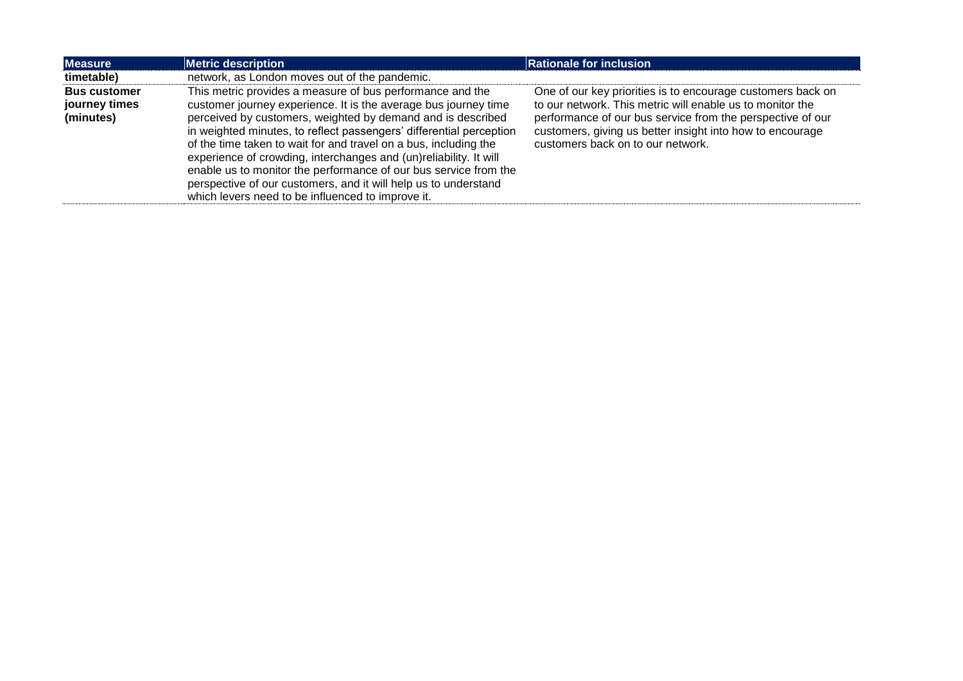| <b>Measure</b>                                    | <b>Metric description</b>                                                                                                                                                                                                                                                                                                                                                                                                                                                                                                                                                                               | <b>Rationale for inclusion</b>                                                                                                                                                                                                                                                           |
|---------------------------------------------------|---------------------------------------------------------------------------------------------------------------------------------------------------------------------------------------------------------------------------------------------------------------------------------------------------------------------------------------------------------------------------------------------------------------------------------------------------------------------------------------------------------------------------------------------------------------------------------------------------------|------------------------------------------------------------------------------------------------------------------------------------------------------------------------------------------------------------------------------------------------------------------------------------------|
| timetable)                                        | network, as London moves out of the pandemic.                                                                                                                                                                                                                                                                                                                                                                                                                                                                                                                                                           |                                                                                                                                                                                                                                                                                          |
| <b>Bus customer</b><br>journey times<br>(minutes) | This metric provides a measure of bus performance and the<br>customer journey experience. It is the average bus journey time<br>perceived by customers, weighted by demand and is described<br>in weighted minutes, to reflect passengers' differential perception<br>of the time taken to wait for and travel on a bus, including the<br>experience of crowding, interchanges and (un)reliability. It will<br>enable us to monitor the performance of our bus service from the<br>perspective of our customers, and it will help us to understand<br>which levers need to be influenced to improve it. | One of our key priorities is to encourage customers back on<br>to our network. This metric will enable us to monitor the<br>performance of our bus service from the perspective of our<br>customers, giving us better insight into how to encourage<br>customers back on to our network. |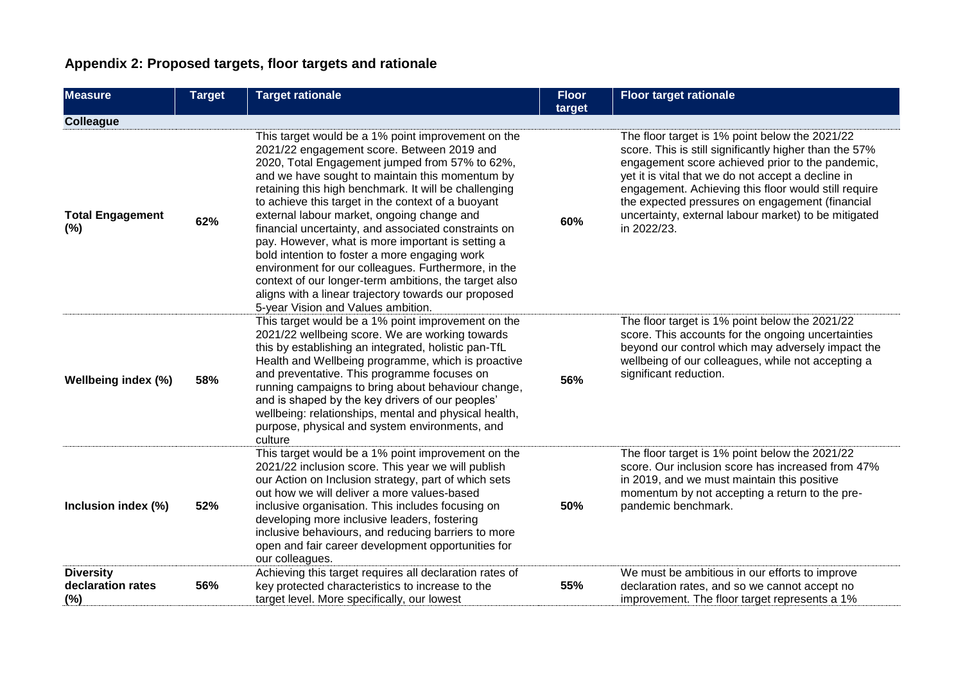# **Appendix 2: Proposed targets, floor targets and rationale**

| <b>Measure</b>                               | <b>Target</b> | <b>Target rationale</b>                                                                                                                                                                                                                                                                                                                                                                                                                                                                                                                                                                                                                                                                                                                        | <b>Floor</b> | <b>Floor target rationale</b>                                                                                                                                                                                                                                                                                                                                                                        |
|----------------------------------------------|---------------|------------------------------------------------------------------------------------------------------------------------------------------------------------------------------------------------------------------------------------------------------------------------------------------------------------------------------------------------------------------------------------------------------------------------------------------------------------------------------------------------------------------------------------------------------------------------------------------------------------------------------------------------------------------------------------------------------------------------------------------------|--------------|------------------------------------------------------------------------------------------------------------------------------------------------------------------------------------------------------------------------------------------------------------------------------------------------------------------------------------------------------------------------------------------------------|
| <b>Colleague</b>                             |               |                                                                                                                                                                                                                                                                                                                                                                                                                                                                                                                                                                                                                                                                                                                                                | target       |                                                                                                                                                                                                                                                                                                                                                                                                      |
| <b>Total Engagement</b><br>(%)               | 62%           | This target would be a 1% point improvement on the<br>2021/22 engagement score. Between 2019 and<br>2020, Total Engagement jumped from 57% to 62%,<br>and we have sought to maintain this momentum by<br>retaining this high benchmark. It will be challenging<br>to achieve this target in the context of a buoyant<br>external labour market, ongoing change and<br>financial uncertainty, and associated constraints on<br>pay. However, what is more important is setting a<br>bold intention to foster a more engaging work<br>environment for our colleagues. Furthermore, in the<br>context of our longer-term ambitions, the target also<br>aligns with a linear trajectory towards our proposed<br>5-year Vision and Values ambition. | 60%          | The floor target is 1% point below the 2021/22<br>score. This is still significantly higher than the 57%<br>engagement score achieved prior to the pandemic,<br>yet it is vital that we do not accept a decline in<br>engagement. Achieving this floor would still require<br>the expected pressures on engagement (financial<br>uncertainty, external labour market) to be mitigated<br>in 2022/23. |
| Wellbeing index (%)                          | 58%           | This target would be a 1% point improvement on the<br>2021/22 wellbeing score. We are working towards<br>this by establishing an integrated, holistic pan-TfL<br>Health and Wellbeing programme, which is proactive<br>and preventative. This programme focuses on<br>running campaigns to bring about behaviour change,<br>and is shaped by the key drivers of our peoples'<br>wellbeing: relationships, mental and physical health,<br>purpose, physical and system environments, and<br>culture                                                                                                                                                                                                                                             | 56%          | The floor target is 1% point below the 2021/22<br>score. This accounts for the ongoing uncertainties<br>beyond our control which may adversely impact the<br>wellbeing of our colleagues, while not accepting a<br>significant reduction.                                                                                                                                                            |
| Inclusion index (%)                          | 52%           | This target would be a 1% point improvement on the<br>2021/22 inclusion score. This year we will publish<br>our Action on Inclusion strategy, part of which sets<br>out how we will deliver a more values-based<br>inclusive organisation. This includes focusing on<br>developing more inclusive leaders, fostering<br>inclusive behaviours, and reducing barriers to more<br>open and fair career development opportunities for<br>our colleagues.                                                                                                                                                                                                                                                                                           | 50%          | The floor target is 1% point below the 2021/22<br>score. Our inclusion score has increased from 47%<br>in 2019, and we must maintain this positive<br>momentum by not accepting a return to the pre-<br>pandemic benchmark.                                                                                                                                                                          |
| <b>Diversity</b><br>declaration rates<br>(%) | 56%           | Achieving this target requires all declaration rates of<br>key protected characteristics to increase to the<br>target level. More specifically, our lowest                                                                                                                                                                                                                                                                                                                                                                                                                                                                                                                                                                                     | 55%          | We must be ambitious in our efforts to improve<br>declaration rates, and so we cannot accept no<br>improvement. The floor target represents a 1%                                                                                                                                                                                                                                                     |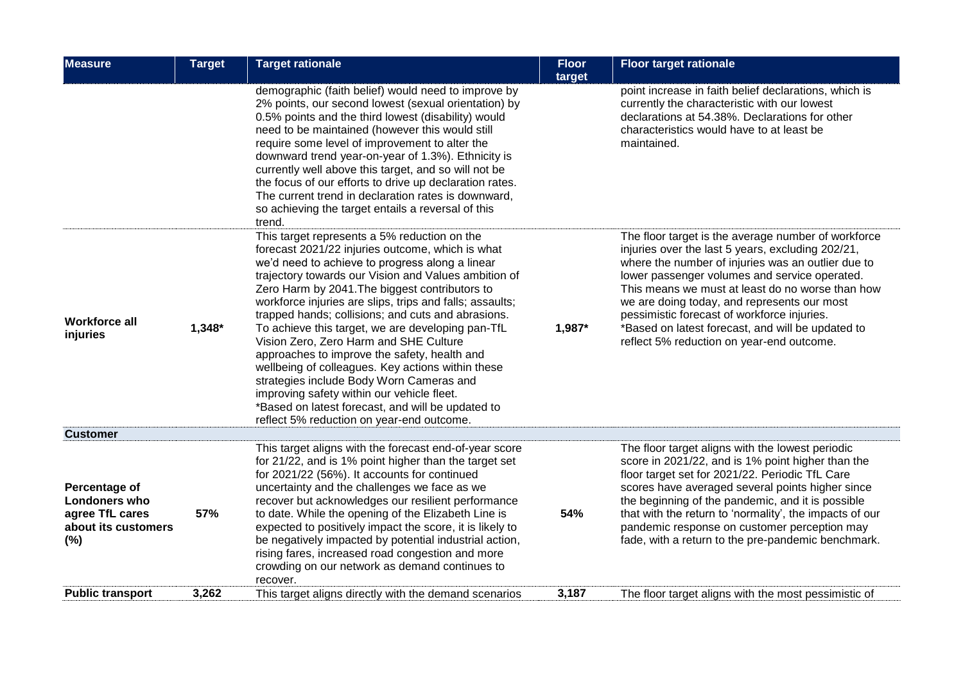| <b>Measure</b>                                                                         | <b>Target</b> | <b>Target rationale</b>                                                                                                                                                                                                                                                                                                                                                                                                                                                                                                                                                                                                                                                                                                                                                         | <b>Floor</b><br>target | <b>Floor target rationale</b>                                                                                                                                                                                                                                                                                                                                                                                                                                       |
|----------------------------------------------------------------------------------------|---------------|---------------------------------------------------------------------------------------------------------------------------------------------------------------------------------------------------------------------------------------------------------------------------------------------------------------------------------------------------------------------------------------------------------------------------------------------------------------------------------------------------------------------------------------------------------------------------------------------------------------------------------------------------------------------------------------------------------------------------------------------------------------------------------|------------------------|---------------------------------------------------------------------------------------------------------------------------------------------------------------------------------------------------------------------------------------------------------------------------------------------------------------------------------------------------------------------------------------------------------------------------------------------------------------------|
|                                                                                        |               | demographic (faith belief) would need to improve by<br>2% points, our second lowest (sexual orientation) by<br>0.5% points and the third lowest (disability) would<br>need to be maintained (however this would still<br>require some level of improvement to alter the<br>downward trend year-on-year of 1.3%). Ethnicity is<br>currently well above this target, and so will not be<br>the focus of our efforts to drive up declaration rates.<br>The current trend in declaration rates is downward,<br>so achieving the target entails a reversal of this<br>trend.                                                                                                                                                                                                         |                        | point increase in faith belief declarations, which is<br>currently the characteristic with our lowest<br>declarations at 54.38%. Declarations for other<br>characteristics would have to at least be<br>maintained.                                                                                                                                                                                                                                                 |
| <b>Workforce all</b><br>injuries                                                       | $1,348*$      | This target represents a 5% reduction on the<br>forecast 2021/22 injuries outcome, which is what<br>we'd need to achieve to progress along a linear<br>trajectory towards our Vision and Values ambition of<br>Zero Harm by 2041. The biggest contributors to<br>workforce injuries are slips, trips and falls; assaults;<br>trapped hands; collisions; and cuts and abrasions.<br>To achieve this target, we are developing pan-TfL<br>Vision Zero, Zero Harm and SHE Culture<br>approaches to improve the safety, health and<br>wellbeing of colleagues. Key actions within these<br>strategies include Body Worn Cameras and<br>improving safety within our vehicle fleet.<br>*Based on latest forecast, and will be updated to<br>reflect 5% reduction on year-end outcome. | 1,987*                 | The floor target is the average number of workforce<br>injuries over the last 5 years, excluding 202/21,<br>where the number of injuries was an outlier due to<br>lower passenger volumes and service operated.<br>This means we must at least do no worse than how<br>we are doing today, and represents our most<br>pessimistic forecast of workforce injuries.<br>*Based on latest forecast, and will be updated to<br>reflect 5% reduction on year-end outcome. |
| <b>Customer</b>                                                                        |               |                                                                                                                                                                                                                                                                                                                                                                                                                                                                                                                                                                                                                                                                                                                                                                                 |                        |                                                                                                                                                                                                                                                                                                                                                                                                                                                                     |
| Percentage of<br><b>Londoners who</b><br>agree TfL cares<br>about its customers<br>(%) | 57%           | This target aligns with the forecast end-of-year score<br>for 21/22, and is 1% point higher than the target set<br>for 2021/22 (56%). It accounts for continued<br>uncertainty and the challenges we face as we<br>recover but acknowledges our resilient performance<br>to date. While the opening of the Elizabeth Line is<br>expected to positively impact the score, it is likely to<br>be negatively impacted by potential industrial action,<br>rising fares, increased road congestion and more<br>crowding on our network as demand continues to<br>recover.                                                                                                                                                                                                            | 54%                    | The floor target aligns with the lowest periodic<br>score in 2021/22, and is 1% point higher than the<br>floor target set for 2021/22. Periodic TfL Care<br>scores have averaged several points higher since<br>the beginning of the pandemic, and it is possible<br>that with the return to 'normality', the impacts of our<br>pandemic response on customer perception may<br>fade, with a return to the pre-pandemic benchmark.                                  |
| <b>Public transport</b>                                                                | 3,262         | This target aligns directly with the demand scenarios                                                                                                                                                                                                                                                                                                                                                                                                                                                                                                                                                                                                                                                                                                                           | 3,187                  | The floor target aligns with the most pessimistic of                                                                                                                                                                                                                                                                                                                                                                                                                |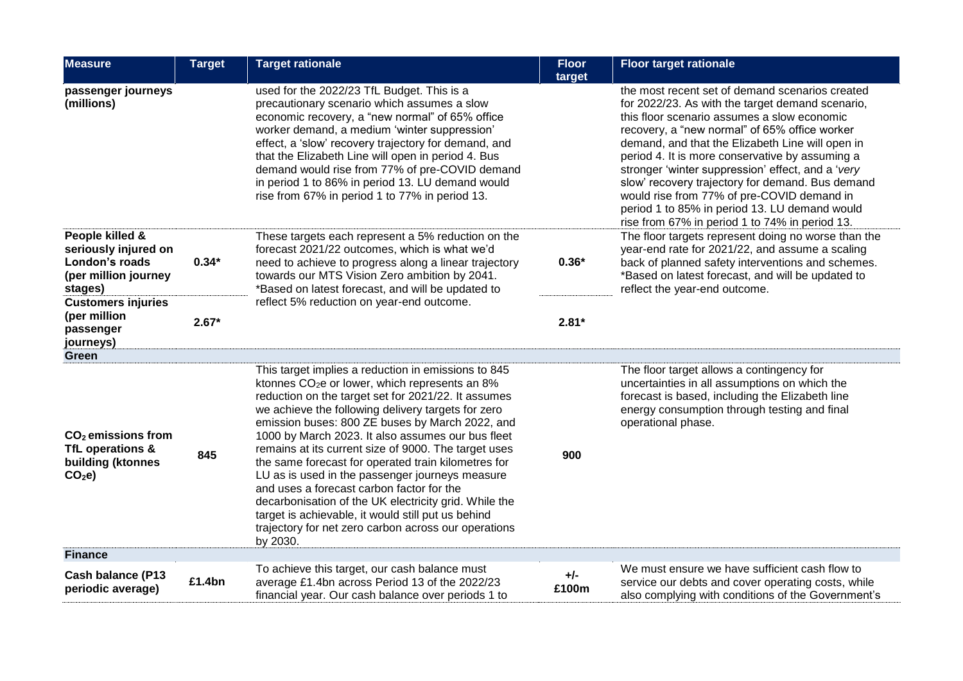| <b>Measure</b>                                                                               | <b>Target</b> | <b>Target rationale</b>                                                                                                                                                                                                                                                                                                                                                                                                                                                                                                                                                                                                                                                                                                                  | <b>Floor</b><br>target | <b>Floor target rationale</b>                                                                                                                                                                                                                                                                                                                                                                                                                                                                                                                                        |
|----------------------------------------------------------------------------------------------|---------------|------------------------------------------------------------------------------------------------------------------------------------------------------------------------------------------------------------------------------------------------------------------------------------------------------------------------------------------------------------------------------------------------------------------------------------------------------------------------------------------------------------------------------------------------------------------------------------------------------------------------------------------------------------------------------------------------------------------------------------------|------------------------|----------------------------------------------------------------------------------------------------------------------------------------------------------------------------------------------------------------------------------------------------------------------------------------------------------------------------------------------------------------------------------------------------------------------------------------------------------------------------------------------------------------------------------------------------------------------|
| passenger journeys<br>(millions)                                                             |               | used for the 2022/23 TfL Budget. This is a<br>precautionary scenario which assumes a slow<br>economic recovery, a "new normal" of 65% office<br>worker demand, a medium 'winter suppression'<br>effect, a 'slow' recovery trajectory for demand, and<br>that the Elizabeth Line will open in period 4. Bus<br>demand would rise from 77% of pre-COVID demand<br>in period 1 to 86% in period 13. LU demand would<br>rise from 67% in period 1 to 77% in period 13.                                                                                                                                                                                                                                                                       |                        | the most recent set of demand scenarios created<br>for 2022/23. As with the target demand scenario,<br>this floor scenario assumes a slow economic<br>recovery, a "new normal" of 65% office worker<br>demand, and that the Elizabeth Line will open in<br>period 4. It is more conservative by assuming a<br>stronger 'winter suppression' effect, and a 'very<br>slow' recovery trajectory for demand. Bus demand<br>would rise from 77% of pre-COVID demand in<br>period 1 to 85% in period 13. LU demand would<br>rise from 67% in period 1 to 74% in period 13. |
| People killed &<br>seriously injured on<br>London's roads<br>(per million journey<br>stages) | $0.34*$       | These targets each represent a 5% reduction on the<br>forecast 2021/22 outcomes, which is what we'd<br>need to achieve to progress along a linear trajectory<br>towards our MTS Vision Zero ambition by 2041.<br>*Based on latest forecast, and will be updated to                                                                                                                                                                                                                                                                                                                                                                                                                                                                       | $0.36*$                | The floor targets represent doing no worse than the<br>year-end rate for 2021/22, and assume a scaling<br>back of planned safety interventions and schemes.<br>*Based on latest forecast, and will be updated to<br>reflect the year-end outcome.                                                                                                                                                                                                                                                                                                                    |
| <b>Customers injuries</b><br>(per million<br>passenger<br>journeys)                          | $2.67*$       | reflect 5% reduction on year-end outcome.                                                                                                                                                                                                                                                                                                                                                                                                                                                                                                                                                                                                                                                                                                | $2.81*$                |                                                                                                                                                                                                                                                                                                                                                                                                                                                                                                                                                                      |
| Green                                                                                        |               |                                                                                                                                                                                                                                                                                                                                                                                                                                                                                                                                                                                                                                                                                                                                          |                        |                                                                                                                                                                                                                                                                                                                                                                                                                                                                                                                                                                      |
| $CO2$ emissions from<br>TfL operations &<br>building (ktonnes<br>CO <sub>2</sub> e           | 845           | This target implies a reduction in emissions to 845<br>ktonnes CO <sub>2</sub> e or lower, which represents an 8%<br>reduction on the target set for 2021/22. It assumes<br>we achieve the following delivery targets for zero<br>emission buses: 800 ZE buses by March 2022, and<br>1000 by March 2023. It also assumes our bus fleet<br>remains at its current size of 9000. The target uses<br>the same forecast for operated train kilometres for<br>LU as is used in the passenger journeys measure<br>and uses a forecast carbon factor for the<br>decarbonisation of the UK electricity grid. While the<br>target is achievable, it would still put us behind<br>trajectory for net zero carbon across our operations<br>by 2030. | 900                    | The floor target allows a contingency for<br>uncertainties in all assumptions on which the<br>forecast is based, including the Elizabeth line<br>energy consumption through testing and final<br>operational phase.                                                                                                                                                                                                                                                                                                                                                  |
| <b>Finance</b>                                                                               |               |                                                                                                                                                                                                                                                                                                                                                                                                                                                                                                                                                                                                                                                                                                                                          |                        |                                                                                                                                                                                                                                                                                                                                                                                                                                                                                                                                                                      |
| <b>Cash balance (P13</b><br>periodic average)                                                | £1.4bn        | To achieve this target, our cash balance must<br>average £1.4bn across Period 13 of the 2022/23<br>financial year. Our cash balance over periods 1 to                                                                                                                                                                                                                                                                                                                                                                                                                                                                                                                                                                                    | $+/-$<br>£100m         | We must ensure we have sufficient cash flow to<br>service our debts and cover operating costs, while<br>also complying with conditions of the Government's                                                                                                                                                                                                                                                                                                                                                                                                           |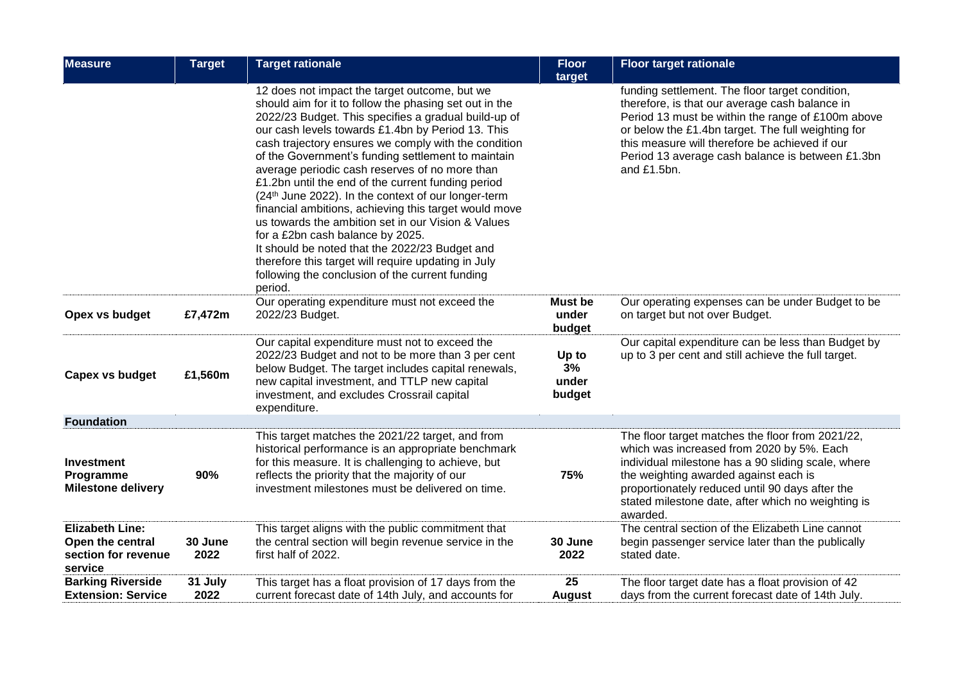| <b>Measure</b>                                                               | <b>Target</b>   | <b>Target rationale</b>                                                                                                                                                                                                                                                                                                                                                                                                                                                                                                                                                                                                                                                                                                                                                                                                     | <b>Floor</b><br>target            | <b>Floor target rationale</b>                                                                                                                                                                                                                                                                                                     |
|------------------------------------------------------------------------------|-----------------|-----------------------------------------------------------------------------------------------------------------------------------------------------------------------------------------------------------------------------------------------------------------------------------------------------------------------------------------------------------------------------------------------------------------------------------------------------------------------------------------------------------------------------------------------------------------------------------------------------------------------------------------------------------------------------------------------------------------------------------------------------------------------------------------------------------------------------|-----------------------------------|-----------------------------------------------------------------------------------------------------------------------------------------------------------------------------------------------------------------------------------------------------------------------------------------------------------------------------------|
|                                                                              |                 | 12 does not impact the target outcome, but we<br>should aim for it to follow the phasing set out in the<br>2022/23 Budget. This specifies a gradual build-up of<br>our cash levels towards £1.4bn by Period 13. This<br>cash trajectory ensures we comply with the condition<br>of the Government's funding settlement to maintain<br>average periodic cash reserves of no more than<br>£1.2bn until the end of the current funding period<br>(24th June 2022). In the context of our longer-term<br>financial ambitions, achieving this target would move<br>us towards the ambition set in our Vision & Values<br>for a £2bn cash balance by 2025.<br>It should be noted that the 2022/23 Budget and<br>therefore this target will require updating in July<br>following the conclusion of the current funding<br>period. |                                   | funding settlement. The floor target condition,<br>therefore, is that our average cash balance in<br>Period 13 must be within the range of £100m above<br>or below the £1.4bn target. The full weighting for<br>this measure will therefore be achieved if our<br>Period 13 average cash balance is between £1.3bn<br>and £1.5bn. |
| Opex vs budget                                                               | £7,472m         | Our operating expenditure must not exceed the<br>2022/23 Budget.                                                                                                                                                                                                                                                                                                                                                                                                                                                                                                                                                                                                                                                                                                                                                            | <b>Must be</b><br>under<br>budget | Our operating expenses can be under Budget to be<br>on target but not over Budget.                                                                                                                                                                                                                                                |
| Capex vs budget                                                              | £1,560m         | Our capital expenditure must not to exceed the<br>2022/23 Budget and not to be more than 3 per cent<br>below Budget. The target includes capital renewals,<br>new capital investment, and TTLP new capital<br>investment, and excludes Crossrail capital<br>expenditure.                                                                                                                                                                                                                                                                                                                                                                                                                                                                                                                                                    | Up to<br>3%<br>under<br>budget    | Our capital expenditure can be less than Budget by<br>up to 3 per cent and still achieve the full target.                                                                                                                                                                                                                         |
| <b>Foundation</b>                                                            |                 |                                                                                                                                                                                                                                                                                                                                                                                                                                                                                                                                                                                                                                                                                                                                                                                                                             |                                   |                                                                                                                                                                                                                                                                                                                                   |
| <b>Investment</b><br>Programme<br><b>Milestone delivery</b>                  | 90%             | This target matches the 2021/22 target, and from<br>historical performance is an appropriate benchmark<br>for this measure. It is challenging to achieve, but<br>reflects the priority that the majority of our<br>investment milestones must be delivered on time.                                                                                                                                                                                                                                                                                                                                                                                                                                                                                                                                                         | 75%                               | The floor target matches the floor from 2021/22,<br>which was increased from 2020 by 5%. Each<br>individual milestone has a 90 sliding scale, where<br>the weighting awarded against each is<br>proportionately reduced until 90 days after the<br>stated milestone date, after which no weighting is<br>awarded.                 |
| <b>Elizabeth Line:</b><br>Open the central<br>section for revenue<br>service | 30 June<br>2022 | This target aligns with the public commitment that<br>the central section will begin revenue service in the<br>first half of 2022.                                                                                                                                                                                                                                                                                                                                                                                                                                                                                                                                                                                                                                                                                          | 30 June<br>2022                   | The central section of the Elizabeth Line cannot<br>begin passenger service later than the publically<br>stated date.                                                                                                                                                                                                             |
| <b>Barking Riverside</b><br><b>Extension: Service</b>                        | 31 July<br>2022 | This target has a float provision of 17 days from the<br>current forecast date of 14th July, and accounts for                                                                                                                                                                                                                                                                                                                                                                                                                                                                                                                                                                                                                                                                                                               | 25<br><b>August</b>               | The floor target date has a float provision of 42<br>days from the current forecast date of 14th July.                                                                                                                                                                                                                            |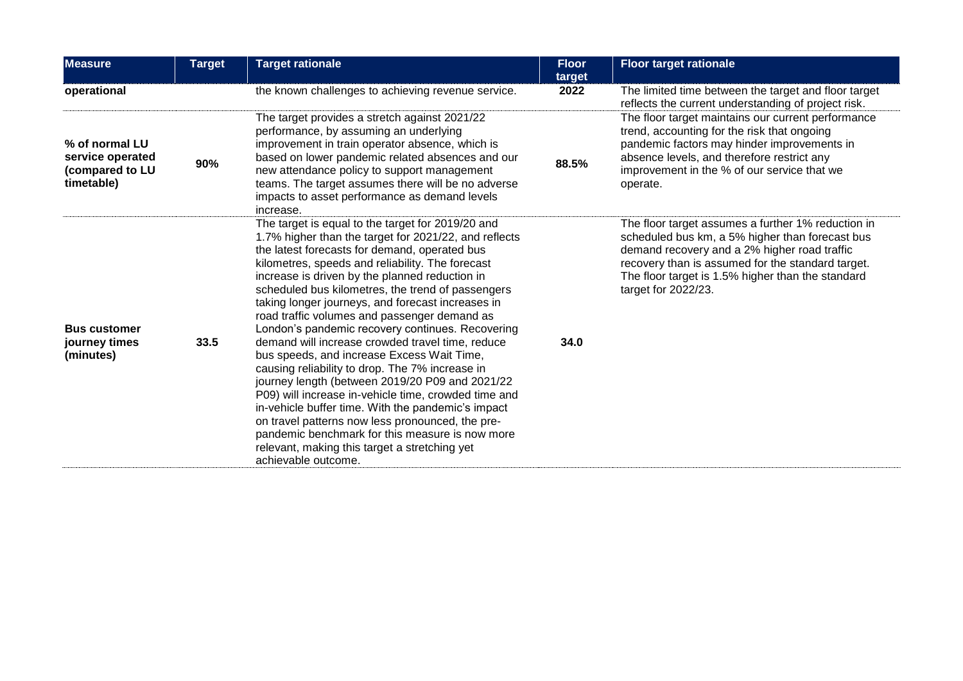| <b>Measure</b>                                                      | <b>Target</b> | <b>Target rationale</b>                                                                                                                                                                                                                                                                                                                                                                                                                                                                                                                                                                                                                                                                                                                                                                                                                                                                                                                                                              | <b>Floor</b><br>target | <b>Floor target rationale</b>                                                                                                                                                                                                                                                          |
|---------------------------------------------------------------------|---------------|--------------------------------------------------------------------------------------------------------------------------------------------------------------------------------------------------------------------------------------------------------------------------------------------------------------------------------------------------------------------------------------------------------------------------------------------------------------------------------------------------------------------------------------------------------------------------------------------------------------------------------------------------------------------------------------------------------------------------------------------------------------------------------------------------------------------------------------------------------------------------------------------------------------------------------------------------------------------------------------|------------------------|----------------------------------------------------------------------------------------------------------------------------------------------------------------------------------------------------------------------------------------------------------------------------------------|
| operational                                                         |               | the known challenges to achieving revenue service.                                                                                                                                                                                                                                                                                                                                                                                                                                                                                                                                                                                                                                                                                                                                                                                                                                                                                                                                   | 2022                   | The limited time between the target and floor target<br>reflects the current understanding of project risk.                                                                                                                                                                            |
| % of normal LU<br>service operated<br>(compared to LU<br>timetable) | 90%           | The target provides a stretch against 2021/22<br>performance, by assuming an underlying<br>improvement in train operator absence, which is<br>based on lower pandemic related absences and our<br>new attendance policy to support management<br>teams. The target assumes there will be no adverse<br>impacts to asset performance as demand levels<br>increase.                                                                                                                                                                                                                                                                                                                                                                                                                                                                                                                                                                                                                    | 88.5%                  | The floor target maintains our current performance<br>trend, accounting for the risk that ongoing<br>pandemic factors may hinder improvements in<br>absence levels, and therefore restrict any<br>improvement in the % of our service that we<br>operate.                              |
| <b>Bus customer</b><br>journey times<br>(minutes)                   | 33.5          | The target is equal to the target for 2019/20 and<br>1.7% higher than the target for 2021/22, and reflects<br>the latest forecasts for demand, operated bus<br>kilometres, speeds and reliability. The forecast<br>increase is driven by the planned reduction in<br>scheduled bus kilometres, the trend of passengers<br>taking longer journeys, and forecast increases in<br>road traffic volumes and passenger demand as<br>London's pandemic recovery continues. Recovering<br>demand will increase crowded travel time, reduce<br>bus speeds, and increase Excess Wait Time,<br>causing reliability to drop. The 7% increase in<br>journey length (between 2019/20 P09 and 2021/22<br>P09) will increase in-vehicle time, crowded time and<br>in-vehicle buffer time. With the pandemic's impact<br>on travel patterns now less pronounced, the pre-<br>pandemic benchmark for this measure is now more<br>relevant, making this target a stretching yet<br>achievable outcome. | 34.0                   | The floor target assumes a further 1% reduction in<br>scheduled bus km, a 5% higher than forecast bus<br>demand recovery and a 2% higher road traffic<br>recovery than is assumed for the standard target.<br>The floor target is 1.5% higher than the standard<br>target for 2022/23. |